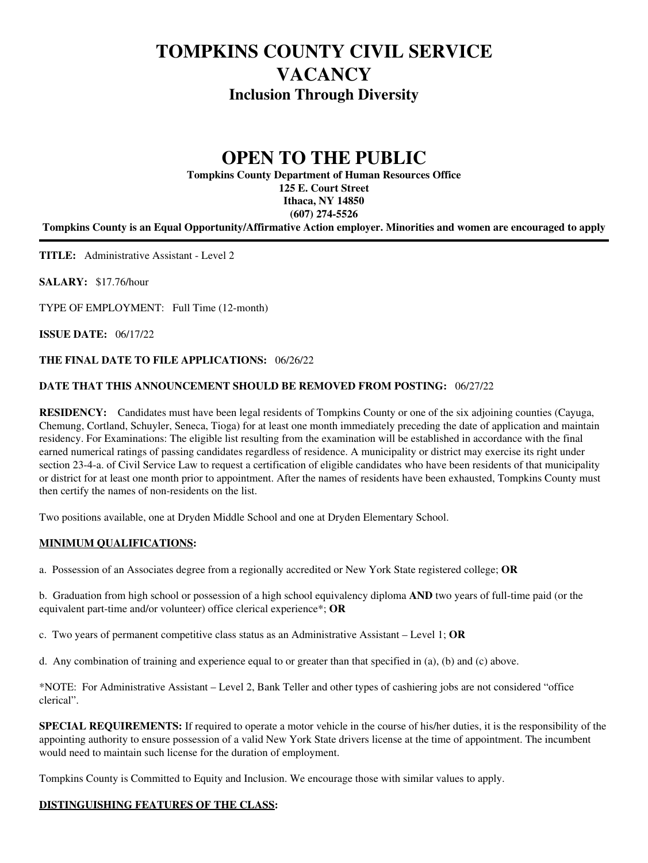# **TOMPKINS COUNTY CIVIL SERVICE VACANCY Inclusion Through Diversity**

# **OPEN TO THE PUBLIC**

**Tompkins County Department of Human Resources Office 125 E. Court Street Ithaca, NY 14850 (607) 274-5526**

**Tompkins County is an Equal Opportunity/Affirmative Action employer. Minorities and women are encouraged to apply**

**TITLE:** Administrative Assistant - Level 2

**SALARY:** \$17.76/hour

TYPE OF EMPLOYMENT: Full Time (12-month)

**ISSUE DATE:** 06/17/22

# **THE FINAL DATE TO FILE APPLICATIONS:** 06/26/22

# **DATE THAT THIS ANNOUNCEMENT SHOULD BE REMOVED FROM POSTING:** 06/27/22

**RESIDENCY:** Candidates must have been legal residents of Tompkins County or one of the six adjoining counties (Cayuga, Chemung, Cortland, Schuyler, Seneca, Tioga) for at least one month immediately preceding the date of application and maintain residency. For Examinations: The eligible list resulting from the examination will be established in accordance with the final earned numerical ratings of passing candidates regardless of residence. A municipality or district may exercise its right under section 23-4-a. of Civil Service Law to request a certification of eligible candidates who have been residents of that municipality or district for at least one month prior to appointment. After the names of residents have been exhausted, Tompkins County must then certify the names of non-residents on the list.

Two positions available, one at Dryden Middle School and one at Dryden Elementary School.

### **MINIMUM QUALIFICATIONS:**

a. Possession of an Associates degree from a regionally accredited or New York State registered college; **OR**

b. Graduation from high school or possession of a high school equivalency diploma **AND** two years of full-time paid (or the equivalent part-time and/or volunteer) office clerical experience\*; **OR**

c. Two years of permanent competitive class status as an Administrative Assistant – Level 1; **OR**

d. Any combination of training and experience equal to or greater than that specified in (a), (b) and (c) above.

\*NOTE: For Administrative Assistant – Level 2, Bank Teller and other types of cashiering jobs are not considered "office clerical".

**SPECIAL REQUIREMENTS:** If required to operate a motor vehicle in the course of his/her duties, it is the responsibility of the appointing authority to ensure possession of a valid New York State drivers license at the time of appointment. The incumbent would need to maintain such license for the duration of employment.

Tompkins County is Committed to Equity and Inclusion. We encourage those with similar values to apply.

### **DISTINGUISHING FEATURES OF THE CLASS:**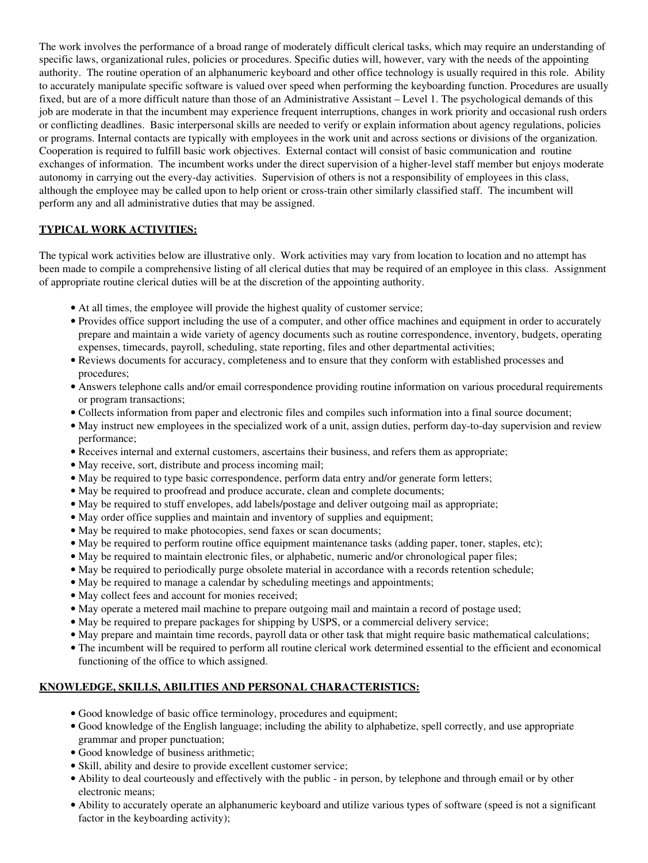The work involves the performance of a broad range of moderately difficult clerical tasks, which may require an understanding of specific laws, organizational rules, policies or procedures. Specific duties will, however, vary with the needs of the appointing authority. The routine operation of an alphanumeric keyboard and other office technology is usually required in this role. Ability to accurately manipulate specific software is valued over speed when performing the keyboarding function. Procedures are usually fixed, but are of a more difficult nature than those of an Administrative Assistant – Level 1. The psychological demands of this job are moderate in that the incumbent may experience frequent interruptions, changes in work priority and occasional rush orders or conflicting deadlines. Basic interpersonal skills are needed to verify or explain information about agency regulations, policies or programs. Internal contacts are typically with employees in the work unit and across sections or divisions of the organization. Cooperation is required to fulfill basic work objectives. External contact will consist of basic communication and routine exchanges of information. The incumbent works under the direct supervision of a higher-level staff member but enjoys moderate autonomy in carrying out the every-day activities. Supervision of others is not a responsibility of employees in this class, although the employee may be called upon to help orient or cross-train other similarly classified staff. The incumbent will perform any and all administrative duties that may be assigned.

# **TYPICAL WORK ACTIVITIES:**

The typical work activities below are illustrative only. Work activities may vary from location to location and no attempt has been made to compile a comprehensive listing of all clerical duties that may be required of an employee in this class. Assignment of appropriate routine clerical duties will be at the discretion of the appointing authority.

- At all times, the employee will provide the highest quality of customer service;
- Provides office support including the use of a computer, and other office machines and equipment in order to accurately prepare and maintain a wide variety of agency documents such as routine correspondence, inventory, budgets, operating expenses, timecards, payroll, scheduling, state reporting, files and other departmental activities;
- Reviews documents for accuracy, completeness and to ensure that they conform with established processes and procedures;
- Answers telephone calls and/or email correspondence providing routine information on various procedural requirements or program transactions;
- Collects information from paper and electronic files and compiles such information into a final source document;
- May instruct new employees in the specialized work of a unit, assign duties, perform day-to-day supervision and review performance;
- Receives internal and external customers, ascertains their business, and refers them as appropriate;
- May receive, sort, distribute and process incoming mail;
- May be required to type basic correspondence, perform data entry and/or generate form letters;
- May be required to proofread and produce accurate, clean and complete documents;
- May be required to stuff envelopes, add labels/postage and deliver outgoing mail as appropriate;
- May order office supplies and maintain and inventory of supplies and equipment;
- May be required to make photocopies, send faxes or scan documents;
- May be required to perform routine office equipment maintenance tasks (adding paper, toner, staples, etc);
- May be required to maintain electronic files, or alphabetic, numeric and/or chronological paper files;
- May be required to periodically purge obsolete material in accordance with a records retention schedule;
- May be required to manage a calendar by scheduling meetings and appointments;
- May collect fees and account for monies received;
- May operate a metered mail machine to prepare outgoing mail and maintain a record of postage used;
- May be required to prepare packages for shipping by USPS, or a commercial delivery service;
- May prepare and maintain time records, payroll data or other task that might require basic mathematical calculations;
- The incumbent will be required to perform all routine clerical work determined essential to the efficient and economical functioning of the office to which assigned.

### **KNOWLEDGE, SKILLS, ABILITIES AND PERSONAL CHARACTERISTICS:**

- Good knowledge of basic office terminology, procedures and equipment;
- Good knowledge of the English language; including the ability to alphabetize, spell correctly, and use appropriate grammar and proper punctuation;
- Good knowledge of business arithmetic;
- Skill, ability and desire to provide excellent customer service;
- Ability to deal courteously and effectively with the public in person, by telephone and through email or by other electronic means;
- Ability to accurately operate an alphanumeric keyboard and utilize various types of software (speed is not a significant factor in the keyboarding activity);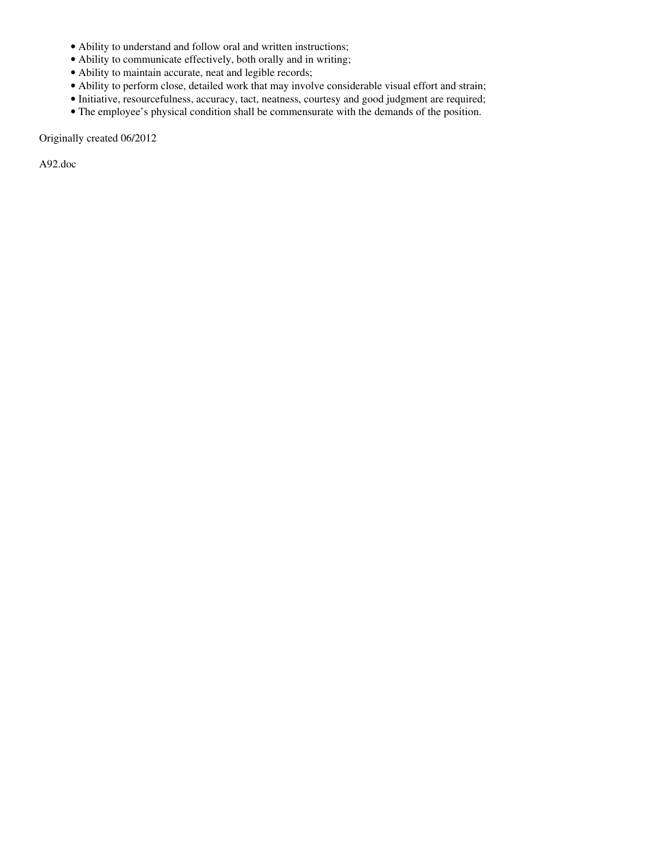- Ability to understand and follow oral and written instructions;
- Ability to communicate effectively, both orally and in writing;
- Ability to maintain accurate, neat and legible records;
- Ability to perform close, detailed work that may involve considerable visual effort and strain;
- Initiative, resourcefulness, accuracy, tact, neatness, courtesy and good judgment are required;
- The employee's physical condition shall be commensurate with the demands of the position.

Originally created 06/2012

A92.doc